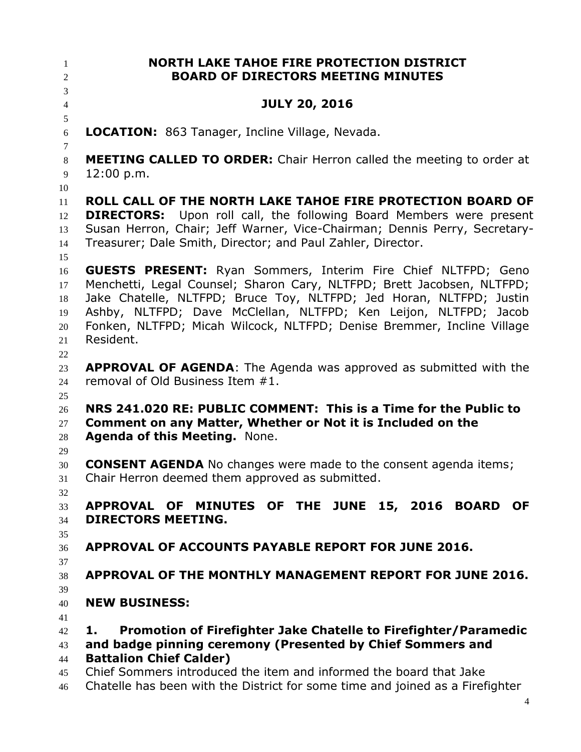**NORTH LAKE TAHOE FIRE PROTECTION DISTRICT BOARD OF DIRECTORS MEETING MINUTES JULY 20, 2016 LOCATION:** 863 Tanager, Incline Village, Nevada. **MEETING CALLED TO ORDER:** Chair Herron called the meeting to order at 12:00 p.m. **ROLL CALL OF THE NORTH LAKE TAHOE FIRE PROTECTION BOARD OF DIRECTORS:** Upon roll call, the following Board Members were present Susan Herron, Chair; Jeff Warner, Vice-Chairman; Dennis Perry, Secretary- Treasurer; Dale Smith, Director; and Paul Zahler, Director. **GUESTS PRESENT:** Ryan Sommers, Interim Fire Chief NLTFPD; Geno Menchetti, Legal Counsel; Sharon Cary, NLTFPD; Brett Jacobsen, NLTFPD; Jake Chatelle, NLTFPD; Bruce Toy, NLTFPD; Jed Horan, NLTFPD; Justin Ashby, NLTFPD; Dave McClellan, NLTFPD; Ken Leijon, NLTFPD; Jacob Fonken, NLTFPD; Micah Wilcock, NLTFPD; Denise Bremmer, Incline Village Resident. **APPROVAL OF AGENDA**: The Agenda was approved as submitted with the removal of Old Business Item #1. **NRS 241.020 RE: PUBLIC COMMENT: This is a Time for the Public to Comment on any Matter, Whether or Not it is Included on the Agenda of this Meeting.** None. **CONSENT AGENDA** No changes were made to the consent agenda items; Chair Herron deemed them approved as submitted. **APPROVAL OF MINUTES OF THE JUNE 15, 2016 BOARD OF DIRECTORS MEETING. APPROVAL OF ACCOUNTS PAYABLE REPORT FOR JUNE 2016. APPROVAL OF THE MONTHLY MANAGEMENT REPORT FOR JUNE 2016. NEW BUSINESS: 1. Promotion of Firefighter Jake Chatelle to Firefighter/Paramedic and badge pinning ceremony (Presented by Chief Sommers and Battalion Chief Calder)** Chief Sommers introduced the item and informed the board that Jake Chatelle has been with the District for some time and joined as a Firefighter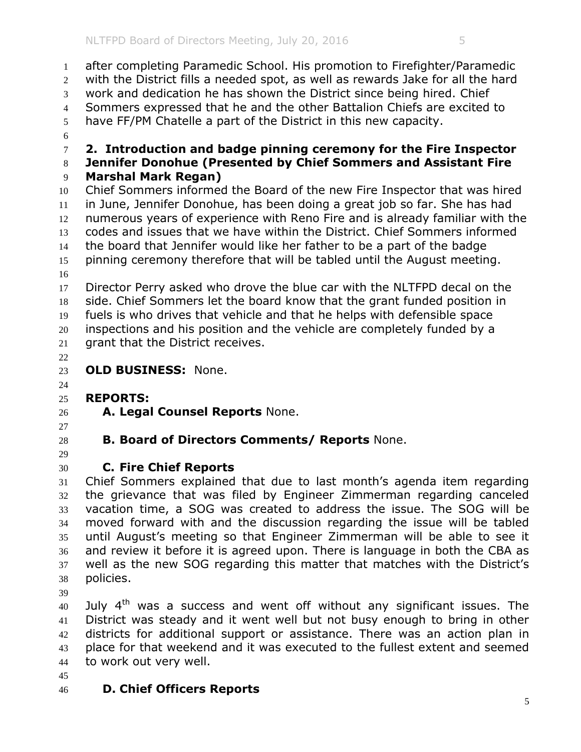after completing Paramedic School. His promotion to Firefighter/Paramedic with the District fills a needed spot, as well as rewards Jake for all the hard work and dedication he has shown the District since being hired. Chief Sommers expressed that he and the other Battalion Chiefs are excited to have FF/PM Chatelle a part of the District in this new capacity. **2. Introduction and badge pinning ceremony for the Fire Inspector Jennifer Donohue (Presented by Chief Sommers and Assistant Fire Marshal Mark Regan)** Chief Sommers informed the Board of the new Fire Inspector that was hired in June, Jennifer Donohue, has been doing a great job so far. She has had numerous years of experience with Reno Fire and is already familiar with the codes and issues that we have within the District. Chief Sommers informed the board that Jennifer would like her father to be a part of the badge pinning ceremony therefore that will be tabled until the August meeting. Director Perry asked who drove the blue car with the NLTFPD decal on the side. Chief Sommers let the board know that the grant funded position in fuels is who drives that vehicle and that he helps with defensible space inspections and his position and the vehicle are completely funded by a grant that the District receives. **OLD BUSINESS:** None. **REPORTS: A. Legal Counsel Reports** None. **B. Board of Directors Comments/ Reports** None. **C. Fire Chief Reports** Chief Sommers explained that due to last month's agenda item regarding the grievance that was filed by Engineer Zimmerman regarding canceled vacation time, a SOG was created to address the issue. The SOG will be moved forward with and the discussion regarding the issue will be tabled until August's meeting so that Engineer Zimmerman will be able to see it and review it before it is agreed upon. There is language in both the CBA as well as the new SOG regarding this matter that matches with the District's policies. July  $4<sup>th</sup>$  was a success and went off without any significant issues. The

 District was steady and it went well but not busy enough to bring in other districts for additional support or assistance. There was an action plan in place for that weekend and it was executed to the fullest extent and seemed to work out very well.

## **D. Chief Officers Reports**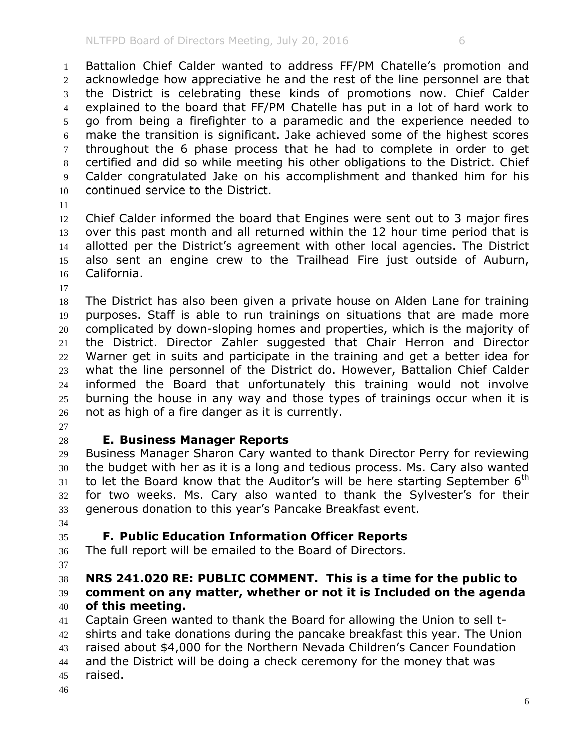Battalion Chief Calder wanted to address FF/PM Chatelle's promotion and acknowledge how appreciative he and the rest of the line personnel are that the District is celebrating these kinds of promotions now. Chief Calder explained to the board that FF/PM Chatelle has put in a lot of hard work to go from being a firefighter to a paramedic and the experience needed to make the transition is significant. Jake achieved some of the highest scores throughout the 6 phase process that he had to complete in order to get certified and did so while meeting his other obligations to the District. Chief Calder congratulated Jake on his accomplishment and thanked him for his continued service to the District.

 Chief Calder informed the board that Engines were sent out to 3 major fires over this past month and all returned within the 12 hour time period that is allotted per the District's agreement with other local agencies. The District also sent an engine crew to the Trailhead Fire just outside of Auburn, California.

 The District has also been given a private house on Alden Lane for training purposes. Staff is able to run trainings on situations that are made more complicated by down-sloping homes and properties, which is the majority of the District. Director Zahler suggested that Chair Herron and Director Warner get in suits and participate in the training and get a better idea for what the line personnel of the District do. However, Battalion Chief Calder informed the Board that unfortunately this training would not involve burning the house in any way and those types of trainings occur when it is not as high of a fire danger as it is currently.

## **E. Business Manager Reports**

 Business Manager Sharon Cary wanted to thank Director Perry for reviewing the budget with her as it is a long and tedious process. Ms. Cary also wanted to let the Board know that the Auditor's will be here starting September 6<sup>th</sup> for two weeks. Ms. Cary also wanted to thank the Sylvester's for their generous donation to this year's Pancake Breakfast event.

## **F. Public Education Information Officer Reports**

The full report will be emailed to the Board of Directors.

## **NRS 241.020 RE: PUBLIC COMMENT. This is a time for the public to comment on any matter, whether or not it is Included on the agenda of this meeting.**

 Captain Green wanted to thank the Board for allowing the Union to sell t- shirts and take donations during the pancake breakfast this year. The Union raised about \$4,000 for the Northern Nevada Children's Cancer Foundation and the District will be doing a check ceremony for the money that was raised.